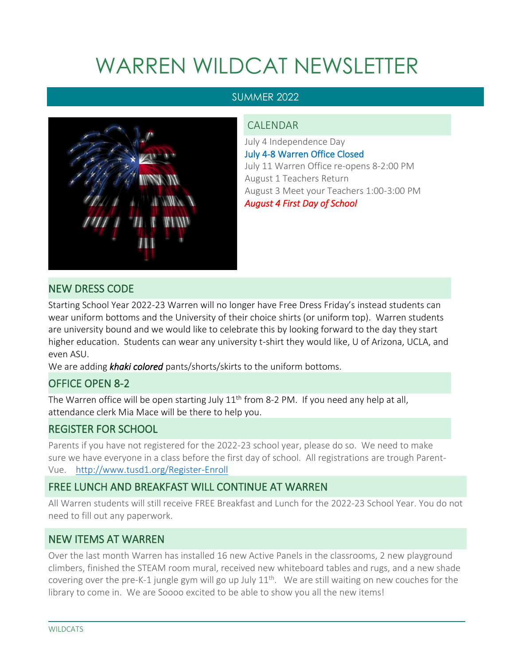# WARREN WILDCAT NEWSLETTER

#### SUMMER 2022



#### CALENDAR

July 4 Independence Day July 4-8 Warren Office Closed July 11 Warren Office re-opens 8-2:00 PM August 1 Teachers Return August 3 Meet your Teachers 1:00-3:00 PM *August 4 First Day of School* 

### NEW DRESS CODE

Starting School Year 2022-23 Warren will no longer have Free Dress Friday's instead students can wear uniform bottoms and the University of their choice shirts (or uniform top). Warren students are university bound and we would like to celebrate this by looking forward to the day they start higher education. Students can wear any university t-shirt they would like, U of Arizona, UCLA, and even ASU.

We are adding *khaki colored* pants/shorts/skirts to the uniform bottoms.

#### OFFICE OPEN 8-2

The Warren office will be open starting July  $11<sup>th</sup>$  from 8-2 PM. If you need any help at all, attendance clerk Mia Mace will be there to help you.

### REGISTER FOR SCHOOL

Parents if you have not registered for the 2022-23 school year, please do so. We need to make sure we have everyone in a class before the first day of school. All registrations are trough Parent-Vue. <http://www.tusd1.org/Register-Enroll>

### FREE LUNCH AND BREAKFAST WILL CONTINUE AT WARREN

All Warren students will still receive FREE Breakfast and Lunch for the 2022-23 School Year. You do not need to fill out any paperwork.

### NEW ITEMS AT WARREN

Over the last month Warren has installed 16 new Active Panels in the classrooms, 2 new playground climbers, finished the STEAM room mural, received new whiteboard tables and rugs, and a new shade covering over the pre-K-1 jungle gym will go up July  $11<sup>th</sup>$ . We are still waiting on new couches for the library to come in. We are Soooo excited to be able to show you all the new items!